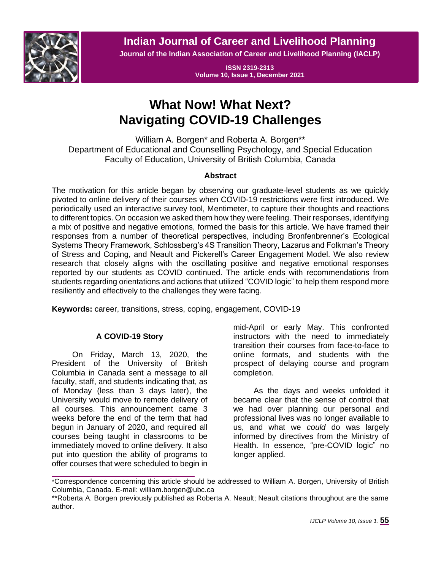

**Indian Journal of Career and Livelihood Planning**

**Journal of the Indian Association of Career and Livelihood Planning (IACLP)**

**ISSN 2319-2313 Volume 10, Issue 1, December 2021**

# **What Now! What Next? Navigating COVID-19 Challenges**

William A. Borgen\* and Roberta A. Borgen\*\* Department of Educational and Counselling Psychology, and Special Education Faculty of Education, University of British Columbia, Canada

# **Abstract**

The motivation for this article began by observing our graduate-level students as we quickly pivoted to online delivery of their courses when COVID-19 restrictions were first introduced. We periodically used an interactive survey tool, Mentimeter, to capture their thoughts and reactions to different topics. On occasion we asked them how they were feeling. Their responses, identifying a mix of positive and negative emotions, formed the basis for this article. We have framed their responses from a number of theoretical perspectives, including Bronfenbrenner's Ecological Systems Theory Framework, Schlossberg's 4S Transition Theory, Lazarus and Folkman's Theory of Stress and Coping, and Neault and Pickerell's Career Engagement Model. We also review research that closely aligns with the oscillating positive and negative emotional responses reported by our students as COVID continued. The article ends with recommendations from students regarding orientations and actions that utilized "COVID logic" to help them respond more resiliently and effectively to the challenges they were facing.

**Keywords:** career, transitions, stress, coping, engagement, COVID-19

# **A COVID-19 Story**

On Friday, March 13, 2020, the President of the University of British Columbia in Canada sent a message to all faculty, staff, and students indicating that, as of Monday (less than 3 days later), the University would move to remote delivery of all courses. This announcement came 3 weeks before the end of the term that had begun in January of 2020, and required all courses being taught in classrooms to be immediately moved to online delivery. It also put into question the ability of programs to offer courses that were scheduled to begin in

mid-April or early May. This confronted instructors with the need to immediately transition their courses from face-to-face to online formats, and students with the prospect of delaying course and program completion.

As the days and weeks unfolded it became clear that the sense of control that we had over planning our personal and professional lives was no longer available to us, and what we *could* do was largely informed by directives from the Ministry of Health. In essence, "pre-COVID logic" no longer applied.

<sup>\*</sup>Correspondence concerning this article should be addressed to William A. Borgen, University of British Columbia, Canada. E-mail: william.borgen@ubc.ca

<sup>\*\*</sup>Roberta A. Borgen previously published as Roberta A. Neault; Neault citations throughout are the same author.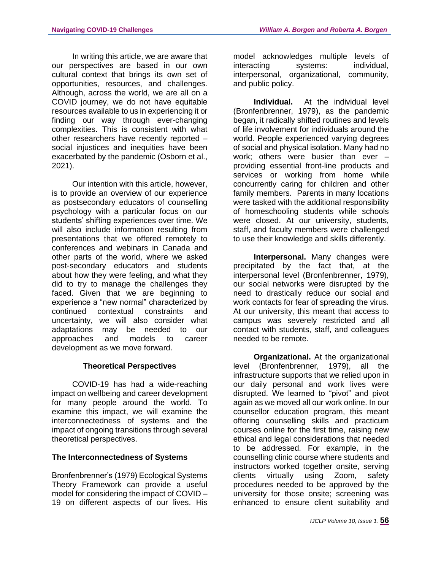In writing this article, we are aware that our perspectives are based in our own cultural context that brings its own set of opportunities, resources, and challenges. Although, across the world, we are all on a COVID journey, we do not have equitable resources available to us in experiencing it or finding our way through ever-changing complexities. This is consistent with what other researchers have recently reported – social injustices and inequities have been exacerbated by the pandemic (Osborn et al., 2021).

Our intention with this article, however, is to provide an overview of our experience as postsecondary educators of counselling psychology with a particular focus on our students' shifting experiences over time. We will also include information resulting from presentations that we offered remotely to conferences and webinars in Canada and other parts of the world, where we asked post-secondary educators and students about how they were feeling, and what they did to try to manage the challenges they faced. Given that we are beginning to experience a "new normal" characterized by continued contextual constraints and uncertainty, we will also consider what adaptations may be needed to our approaches and models to career development as we move forward.

## **Theoretical Perspectives**

COVID-19 has had a wide-reaching impact on wellbeing and career development for many people around the world. To examine this impact, we will examine the interconnectedness of systems and the impact of ongoing transitions through several theoretical perspectives.

## **The Interconnectedness of Systems**

Bronfenbrenner's (1979) Ecological Systems Theory Framework can provide a useful model for considering the impact of COVID – 19 on different aspects of our lives. His model acknowledges multiple levels of interacting systems: individual, interpersonal, organizational, community, and public policy.

**Individual.** At the individual level (Bronfenbrenner, 1979), as the pandemic began, it radically shifted routines and levels of life involvement for individuals around the world. People experienced varying degrees of social and physical isolation. Many had no work; others were busier than ever – providing essential front-line products and services or working from home while concurrently caring for children and other family members. Parents in many locations were tasked with the additional responsibility of homeschooling students while schools were closed. At our university, students, staff, and faculty members were challenged to use their knowledge and skills differently.

**Interpersonal.** Many changes were precipitated by the fact that, at the interpersonal level (Bronfenbrenner, 1979), our social networks were disrupted by the need to drastically reduce our social and work contacts for fear of spreading the virus. At our university, this meant that access to campus was severely restricted and all contact with students, staff, and colleagues needed to be remote.

**Organizational.** At the organizational level (Bronfenbrenner, 1979), all the infrastructure supports that we relied upon in our daily personal and work lives were disrupted. We learned to "pivot" and pivot again as we moved all our work online. In our counsellor education program, this meant offering counselling skills and practicum courses online for the first time, raising new ethical and legal considerations that needed to be addressed. For example, in the counselling clinic course where students and instructors worked together onsite, serving clients virtually using Zoom, safety procedures needed to be approved by the university for those onsite; screening was enhanced to ensure client suitability and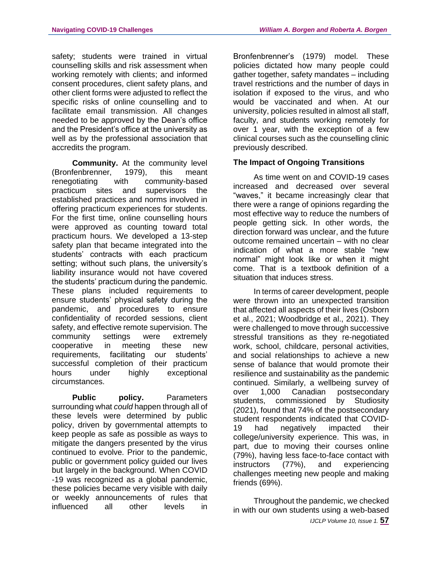safety; students were trained in virtual counselling skills and risk assessment when working remotely with clients; and informed consent procedures, client safety plans, and other client forms were adjusted to reflect the specific risks of online counselling and to facilitate email transmission. All changes needed to be approved by the Dean's office and the President's office at the university as well as by the professional association that accredits the program.

**Community.** At the community level (Bronfenbrenner, 1979), this meant renegotiating with community-based practicum sites and supervisors the established practices and norms involved in offering practicum experiences for students. For the first time, online counselling hours were approved as counting toward total practicum hours. We developed a 13-step safety plan that became integrated into the students' contracts with each practicum setting; without such plans, the university's liability insurance would not have covered the students' practicum during the pandemic. These plans included requirements to ensure students' physical safety during the pandemic, and procedures to ensure confidentiality of recorded sessions, client safety, and effective remote supervision. The community settings were extremely cooperative in meeting these new requirements, facilitating our students' successful completion of their practicum hours under highly exceptional circumstances.

**Public policy.** Parameters surrounding what *could* happen through all of these levels were determined by public policy, driven by governmental attempts to keep people as safe as possible as ways to mitigate the dangers presented by the virus continued to evolve. Prior to the pandemic, public or government policy guided our lives but largely in the background. When COVID -19 was recognized as a global pandemic, these policies became very visible with daily or weekly announcements of rules that influenced all other levels in

Bronfenbrenner's (1979) model. These policies dictated how many people could gather together, safety mandates – including travel restrictions and the number of days in isolation if exposed to the virus, and who would be vaccinated and when. At our university, policies resulted in almost all staff, faculty, and students working remotely for over 1 year, with the exception of a few clinical courses such as the counselling clinic previously described.

# **The Impact of Ongoing Transitions**

As time went on and COVID-19 cases increased and decreased over several "waves," it became increasingly clear that there were a range of opinions regarding the most effective way to reduce the numbers of people getting sick. In other words, the direction forward was unclear, and the future outcome remained uncertain – with no clear indication of what a more stable "new normal" might look like or when it might come. That is a textbook definition of a situation that induces stress.

In terms of career development, people were thrown into an unexpected transition that affected all aspects of their lives (Osborn et al., 2021; Woodbridge et al., 2021). They were challenged to move through successive stressful transitions as they re-negotiated work, school, childcare, personal activities, and social relationships to achieve a new sense of balance that would promote their resilience and sustainability as the pandemic continued. Similarly, a wellbeing survey of over 1,000 Canadian postsecondary students, commissioned by Studiosity (2021), found that 74% of the postsecondary student respondents indicated that COVID-19 had negatively impacted their college/university experience. This was, in part, due to moving their courses online (79%), having less face-to-face contact with instructors (77%), and experiencing challenges meeting new people and making friends (69%).

Throughout the pandemic, we checked in with our own students using a web-based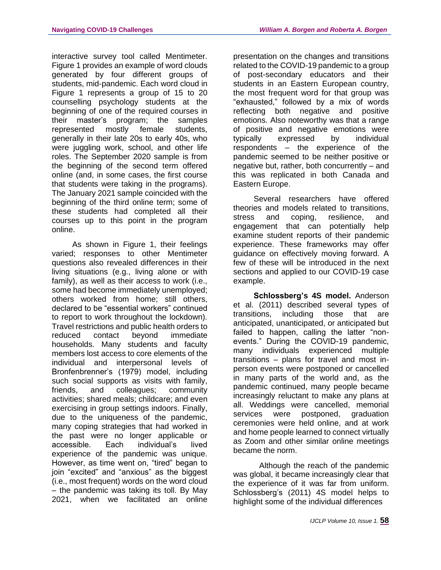interactive survey tool called Mentimeter. Figure 1 provides an example of word clouds generated by four different groups of students, mid-pandemic. Each word cloud in Figure 1 represents a group of 15 to 20 counselling psychology students at the beginning of one of the required courses in their master's program; the samples represented mostly female students, generally in their late 20s to early 40s, who were juggling work, school, and other life roles. The September 2020 sample is from the beginning of the second term offered online (and, in some cases, the first course that students were taking in the programs). The January 2021 sample coincided with the beginning of the third online term; some of these students had completed all their courses up to this point in the program online.

As shown in Figure 1, their feelings varied; responses to other Mentimeter questions also revealed differences in their living situations (e.g., living alone or with family), as well as their access to work (i.e., some had become immediately unemployed; others worked from home; still others, declared to be "essential workers" continued to report to work throughout the lockdown). Travel restrictions and public health orders to reduced contact beyond immediate households. Many students and faculty members lost access to core elements of the individual and interpersonal levels of Bronfenbrenner's (1979) model, including such social supports as visits with family, friends, and colleagues; community activities; shared meals; childcare; and even exercising in group settings indoors. Finally, due to the uniqueness of the pandemic, many coping strategies that had worked in the past were no longer applicable or accessible. Each individual's lived experience of the pandemic was unique. However, as time went on, "tired" began to join "excited" and "anxious" as the biggest (i.e., most frequent) words on the word cloud – the pandemic was taking its toll. By May 2021, when we facilitated an online

presentation on the changes and transitions related to the COVID-19 pandemic to a group of post-secondary educators and their students in an Eastern European country, the most frequent word for that group was "exhausted," followed by a mix of words reflecting both negative and positive emotions. Also noteworthy was that a range of positive and negative emotions were typically expressed by individual respondents – the experience of the pandemic seemed to be neither positive or negative but, rather, both concurrently – and this was replicated in both Canada and Eastern Europe.

Several researchers have offered theories and models related to transitions, stress and coping, resilience, and engagement that can potentially help examine student reports of their pandemic experience. These frameworks may offer guidance on effectively moving forward. A few of these will be introduced in the next sections and applied to our COVID-19 case example.

**Schlossberg's 4S model.** Anderson et al. (2011) described several types of transitions, including those that are anticipated, unanticipated, or anticipated but failed to happen, calling the latter "nonevents." During the COVID-19 pandemic, many individuals experienced multiple transitions – plans for travel and most inperson events were postponed or cancelled in many parts of the world and, as the pandemic continued, many people became increasingly reluctant to make any plans at all. Weddings were cancelled, memorial services were postponed, graduation ceremonies were held online, and at work and home people learned to connect virtually as Zoom and other similar online meetings became the norm.

Although the reach of the pandemic was global, it became increasingly clear that the experience of it was far from uniform. Schlossberg's (2011) 4S model helps to highlight some of the individual differences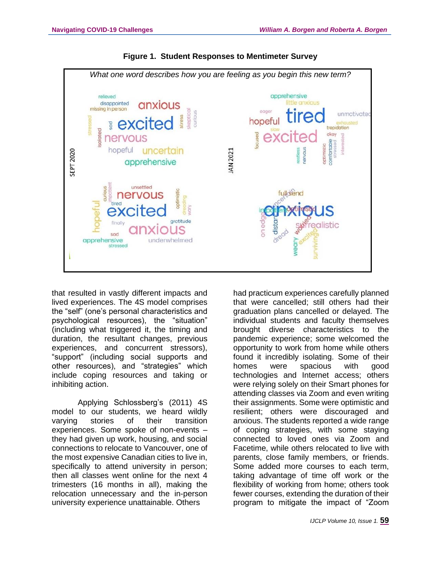

**Figure 1. Student Responses to Mentimeter Survey**

that resulted in vastly different impacts and lived experiences. The 4S model comprises the "self" (one's personal characteristics and psychological resources), the "situation" (including what triggered it, the timing and duration, the resultant changes, previous experiences, and concurrent stressors), "support" (including social supports and other resources), and "strategies" which include coping resources and taking or inhibiting action.

Applying Schlossberg's (2011) 4S model to our students, we heard wildly varying stories of their transition experiences. Some spoke of non-events – they had given up work, housing, and social connections to relocate to Vancouver, one of the most expensive Canadian cities to live in, specifically to attend university in person; then all classes went online for the next 4 trimesters (16 months in all), making the relocation unnecessary and the in-person university experience unattainable. Others

had practicum experiences carefully planned that were cancelled; still others had their graduation plans cancelled or delayed. The individual students and faculty themselves brought diverse characteristics to the pandemic experience; some welcomed the opportunity to work from home while others found it incredibly isolating. Some of their homes were spacious with good technologies and Internet access; others were relying solely on their Smart phones for attending classes via Zoom and even writing their assignments. Some were optimistic and resilient; others were discouraged and anxious. The students reported a wide range of coping strategies, with some staying connected to loved ones via Zoom and Facetime, while others relocated to live with parents, close family members, or friends. Some added more courses to each term, taking advantage of time off work or the flexibility of working from home; others took fewer courses, extending the duration of their program to mitigate the impact of "Zoom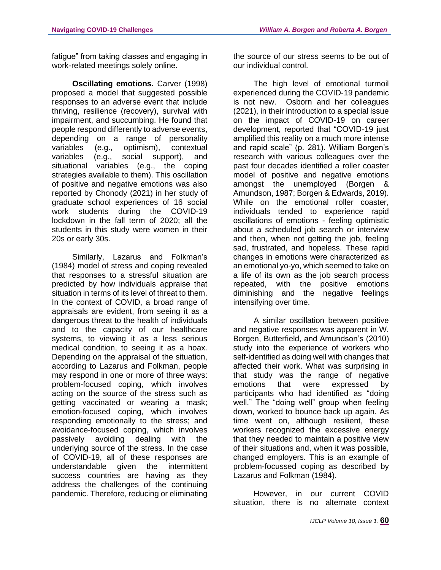fatigue" from taking classes and engaging in work-related meetings solely online.

**Oscillating emotions. Carver (1998)** proposed a model that suggested possible responses to an adverse event that include thriving, resilience (recovery), survival with impairment, and succumbing. He found that people respond differently to adverse events, depending on a range of personality variables (e.g., optimism), contextual variables (e.g., social support), and situational variables (e.g., the coping strategies available to them). This oscillation of positive and negative emotions was also reported by Chonody (2021) in her study of graduate school experiences of 16 social work students during the COVID-19 lockdown in the fall term of 2020; all the students in this study were women in their 20s or early 30s.

Similarly, Lazarus and Folkman's (1984) model of stress and coping revealed that responses to a stressful situation are predicted by how individuals appraise that situation in terms of its level of threat to them. In the context of COVID, a broad range of appraisals are evident, from seeing it as a dangerous threat to the health of individuals and to the capacity of our healthcare systems, to viewing it as a less serious medical condition, to seeing it as a hoax. Depending on the appraisal of the situation, according to Lazarus and Folkman, people may respond in one or more of three ways: problem-focused coping, which involves acting on the source of the stress such as getting vaccinated or wearing a mask; emotion-focused coping, which involves responding emotionally to the stress; and avoidance-focused coping, which involves passively avoiding dealing with the underlying source of the stress. In the case of COVID-19, all of these responses are understandable given the intermittent success countries are having as they address the challenges of the continuing pandemic. Therefore, reducing or eliminating the source of our stress seems to be out of our individual control.

The high level of emotional turmoil experienced during the COVID-19 pandemic is not new. Osborn and her colleagues (2021), in their introduction to a special issue on the impact of COVID-19 on career development, reported that "COVID-19 just amplified this reality on a much more intense and rapid scale" (p. 281). William Borgen's research with various colleagues over the past four decades identified a roller coaster model of positive and negative emotions amongst the unemployed (Borgen & Amundson, 1987; Borgen & Edwards, 2019). While on the emotional roller coaster, individuals tended to experience rapid oscillations of emotions - feeling optimistic about a scheduled job search or interview and then, when not getting the job, feeling sad, frustrated, and hopeless. These rapid changes in emotions were characterized as an emotional yo-yo, which seemed to take on a life of its own as the job search process repeated, with the positive emotions diminishing and the negative feelings intensifying over time.

A similar oscillation between positive and negative responses was apparent in W. Borgen, Butterfield, and Amundson's (2010) study into the experience of workers who self-identified as doing well with changes that affected their work. What was surprising in that study was the range of negative emotions that were expressed by participants who had identified as "doing well." The "doing well" group when feeling down, worked to bounce back up again. As time went on, although resilient, these workers recognized the excessive energy that they needed to maintain a positive view of their situations and, when it was possible, changed employers. This is an example of problem-focussed coping as described by Lazarus and Folkman (1984).

However, in our current COVID situation, there is no alternate context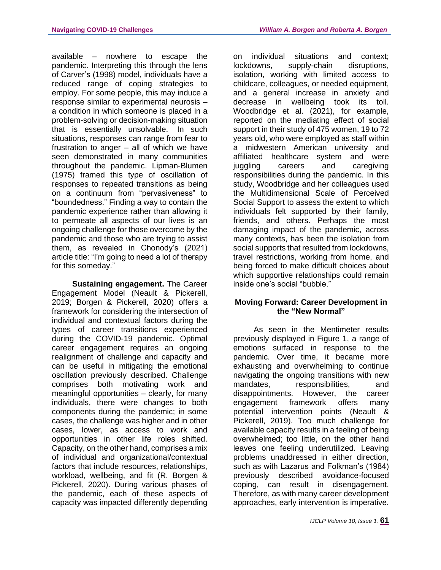available – nowhere to escape the pandemic. Interpreting this through the lens of Carver's (1998) model, individuals have a reduced range of coping strategies to employ. For some people, this may induce a response similar to experimental neurosis – a condition in which someone is placed in a problem-solving or decision-making situation that is essentially unsolvable. In such situations, responses can range from fear to frustration to anger – all of which we have seen demonstrated in many communities throughout the pandemic. Lipman-Blumen (1975) framed this type of oscillation of responses to repeated transitions as being on a continuum from "pervasiveness" to "boundedness." Finding a way to contain the pandemic experience rather than allowing it to permeate all aspects of our lives is an ongoing challenge for those overcome by the pandemic and those who are trying to assist them, as revealed in Chonody's (2021) article title: "I'm going to need a lot of therapy for this someday."

**Sustaining engagement.** The Career Engagement Model (Neault & Pickerell, 2019; Borgen & Pickerell, 2020) offers a framework for considering the intersection of individual and contextual factors during the types of career transitions experienced during the COVID-19 pandemic. Optimal career engagement requires an ongoing realignment of challenge and capacity and can be useful in mitigating the emotional oscillation previously described. Challenge comprises both motivating work and meaningful opportunities – clearly, for many individuals, there were changes to both components during the pandemic; in some cases, the challenge was higher and in other cases, lower, as access to work and opportunities in other life roles shifted. Capacity, on the other hand, comprises a mix of individual and organizational/contextual factors that include resources, relationships, workload, wellbeing, and fit (R. Borgen & Pickerell, 2020). During various phases of the pandemic, each of these aspects of capacity was impacted differently depending

on individual situations and context; lockdowns, supply-chain disruptions, isolation, working with limited access to childcare, colleagues, or needed equipment, and a general increase in anxiety and decrease in wellbeing took its toll. Woodbridge et al. (2021), for example, reported on the mediating effect of social support in their study of 475 women, 19 to 72 years old, who were employed as staff within a midwestern American university and affiliated healthcare system and were juggling careers and caregiving responsibilities during the pandemic. In this study, Woodbridge and her colleagues used the Multidimensional Scale of Perceived Social Support to assess the extent to which individuals felt supported by their family, friends, and others. Perhaps the most damaging impact of the pandemic, across many contexts, has been the isolation from social supports that resulted from lockdowns, travel restrictions, working from home, and being forced to make difficult choices about which supportive relationships could remain inside one's social "bubble."

## **Moving Forward: Career Development in the "New Normal"**

As seen in the Mentimeter results previously displayed in Figure 1, a range of emotions surfaced in response to the pandemic. Over time, it became more exhausting and overwhelming to continue navigating the ongoing transitions with new mandates, responsibilities, and disappointments. However, the career engagement framework offers many potential intervention points (Neault & Pickerell, 2019). Too much challenge for available capacity results in a feeling of being overwhelmed; too little, on the other hand leaves one feeling underutilized. Leaving problems unaddressed in either direction, such as with Lazarus and Folkman's (1984) previously described avoidance-focused coping, can result in disengagement. Therefore, as with many career development approaches, early intervention is imperative.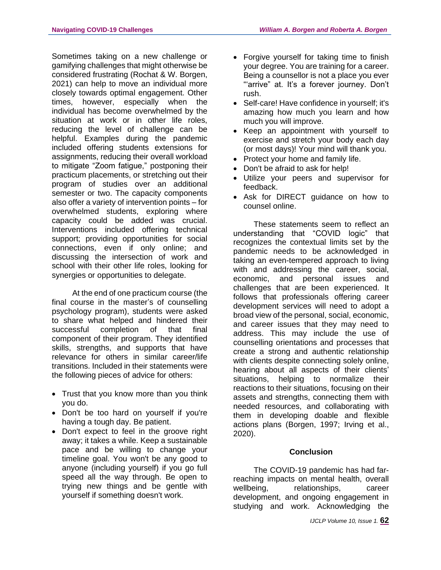Sometimes taking on a new challenge or gamifying challenges that might otherwise be considered frustrating (Rochat & W. Borgen, 2021) can help to move an individual more closely towards optimal engagement. Other times, however, especially when the individual has become overwhelmed by the situation at work or in other life roles, reducing the level of challenge can be helpful. Examples during the pandemic included offering students extensions for assignments, reducing their overall workload to mitigate "Zoom fatigue," postponing their practicum placements, or stretching out their program of studies over an additional semester or two. The capacity components also offer a variety of intervention points – for overwhelmed students, exploring where capacity could be added was crucial. Interventions included offering technical support; providing opportunities for social connections, even if only online; and discussing the intersection of work and school with their other life roles, looking for synergies or opportunities to delegate.

At the end of one practicum course (the final course in the master's of counselling psychology program), students were asked to share what helped and hindered their successful completion of that final component of their program. They identified skills, strengths, and supports that have relevance for others in similar career/life transitions. Included in their statements were the following pieces of advice for others:

- Trust that you know more than you think you do.
- Don't be too hard on yourself if you're having a tough day. Be patient.
- Don't expect to feel in the groove right away; it takes a while. Keep a sustainable pace and be willing to change your timeline goal. You won't be any good to anyone (including yourself) if you go full speed all the way through. Be open to trying new things and be gentle with yourself if something doesn't work.
- Forgive yourself for taking time to finish your degree. You are training for a career. Being a counsellor is not a place you ever "'arrive" at. It's a forever journey. Don't rush.
- Self-care! Have confidence in yourself; it's amazing how much you learn and how much you will improve.
- Keep an appointment with yourself to exercise and stretch your body each day (or most days)! Your mind will thank you.
- Protect your home and family life.
- Don't be afraid to ask for help!
- Utilize your peers and supervisor for feedback.
- Ask for DIRECT guidance on how to counsel online.

These statements seem to reflect an understanding that "COVID logic" that recognizes the contextual limits set by the pandemic needs to be acknowledged in taking an even-tempered approach to living with and addressing the career, social, economic, and personal issues and challenges that are been experienced. It follows that professionals offering career development services will need to adopt a broad view of the personal, social, economic, and career issues that they may need to address. This may include the use of counselling orientations and processes that create a strong and authentic relationship with clients despite connecting solely online, hearing about all aspects of their clients' situations, helping to normalize their reactions to their situations, focusing on their assets and strengths, connecting them with needed resources, and collaborating with them in developing doable and flexible actions plans (Borgen, 1997; Irving et al., 2020).

## **Conclusion**

The COVID-19 pandemic has had farreaching impacts on mental health, overall wellbeing. relationships, career development, and ongoing engagement in studying and work. Acknowledging the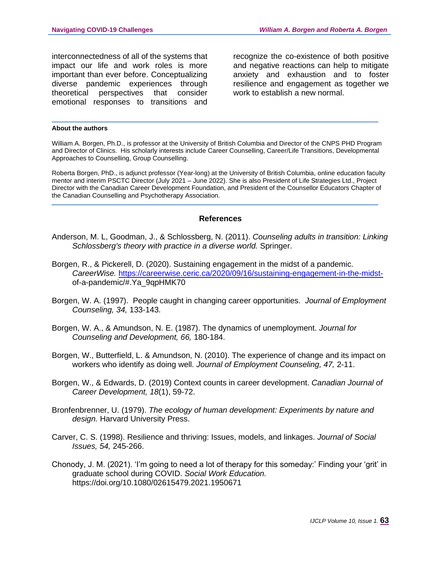interconnectedness of all of the systems that impact our life and work roles is more important than ever before. Conceptualizing diverse pandemic experiences through theoretical perspectives that consider emotional responses to transitions and recognize the co-existence of both positive and negative reactions can help to mitigate anxiety and exhaustion and to foster resilience and engagement as together we work to establish a new normal.

#### **About the authors**

William A. Borgen, Ph.D., is professor at the University of British Columbia and Director of the CNPS PHD Program and Director of Clinics. His scholarly interests include Career Counselling, Career/Life Transitions, Developmental Approaches to Counselling, Group Counselling.

Roberta Borgen, PhD., is adjunct professor (Year-long) at the University of British Columbia, online education faculty mentor and interim PSCTC Director (July 2021 – June 2022). She is also President of Life Strategies Ltd., Project Director with the Canadian Career Development Foundation, and President of the Counsellor Educators Chapter of the Canadian Counselling and Psychotherapy Association.

#### **References**

- Anderson, M. L, Goodman, J., & Schlossberg, N. (2011). *Counseling adults in transition: Linking Schlossberg's theory with practice in a diverse world.* Springer.
- Borgen, R., & Pickerell, D. (2020). Sustaining engagement in the midst of a pandemic. *CareerWise.* [https://careerwise.ceric.ca/2020/09/16/sustaining-engagement-in-the-midst](https://careerwise.ceric.ca/2020/09/16/sustaining-engagement-in-the-midst-)of-a-pandemic/#.Ya\_9qpHMK70
- Borgen, W. A. (1997). People caught in changing career opportunities. *Journal of Employment Counseling, 34,* 133-143.
- Borgen, W. A., & Amundson, N. E. (1987). The dynamics of unemployment. *Journal for Counseling and Development, 66,* 180-184.
- Borgen, W., Butterfield, L. & Amundson, N. (2010). The experience of change and its impact on workers who identify as doing well. *Journal of Employment Counseling, 47,* 2-11.
- Borgen, W., & Edwards, D. (2019) Context counts in career development. *Canadian Journal of Career Development, 18*(1), 59-72.
- Bronfenbrenner, U. (1979). *The ecology of human development: Experiments by nature and design.* Harvard University Press.
- Carver, C. S. (1998). Resilience and thriving: Issues, models, and linkages. *Journal of Social Issues, 54,* 245-266.
- Chonody, J. M. (2021). 'I'm going to need a lot of therapy for this someday:' Finding your 'grit' in graduate school during COVID. *Social Work Education.* https://doi.org/10.1080/02615479.2021.1950671